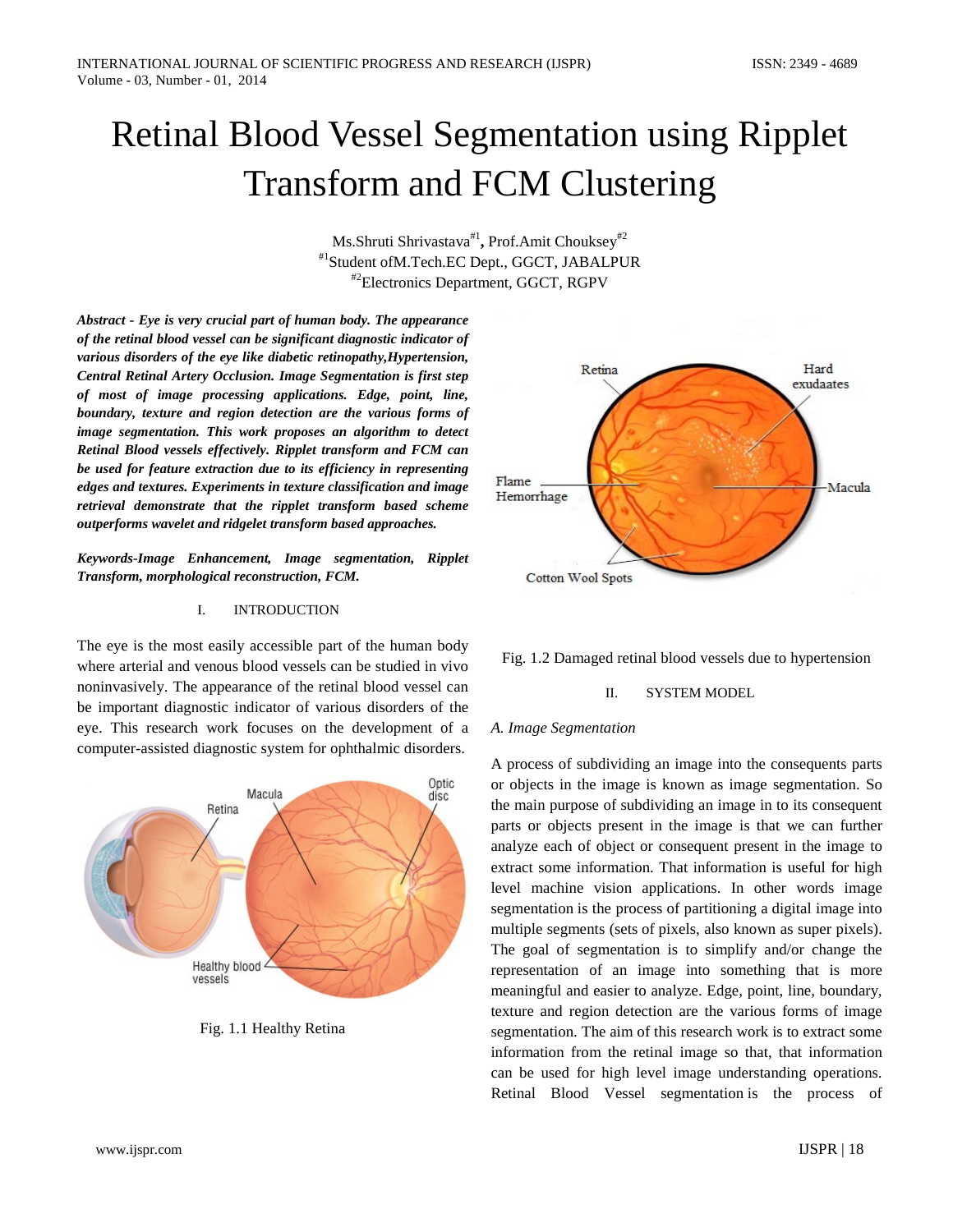# Retinal Blood Vessel Segmentation using Ripplet Transform and FCM Clustering

Ms.Shruti Shrivastava#1**,** Prof.Amit Chouksey#2 #1Student ofM.Tech.EC Dept., GGCT, JABALPUR #2Electronics Department, GGCT, RGPV

*Abstract - Eye is very crucial part of human body. The appearance of the retinal blood vessel can be significant diagnostic indicator of various disorders of the eye like diabetic retinopathy,Hypertension, Central Retinal Artery Occlusion. Image Segmentation is first step of most of image processing applications. Edge, point, line, boundary, texture and region detection are the various forms of image segmentation. This work proposes an algorithm to detect Retinal Blood vessels effectively. Ripplet transform and FCM can be used for feature extraction due to its efficiency in representing edges and textures. Experiments in texture classification and image retrieval demonstrate that the ripplet transform based scheme outperforms wavelet and ridgelet transform based approaches.*

*Keywords-Image Enhancement, Image segmentation, Ripplet Transform, morphological reconstruction, FCM.*

#### I. INTRODUCTION

The eye is the most easily accessible part of the human body where arterial and venous blood vessels can be studied in vivo noninvasively. The appearance of the retinal blood vessel can be important diagnostic indicator of various disorders of the eye. This research work focuses on the development of a computer-assisted diagnostic system for ophthalmic disorders.



Fig. 1.1 Healthy Retina





## II. SYSTEM MODEL

## *A. Image Segmentation*

A process of subdividing an image into the consequents parts or objects in the image is known as image segmentation. So the main purpose of subdividing an image in to its consequent parts or objects present in the image is that we can further analyze each of object or consequent present in the image to extract some information. That information is useful for high level machine vision applications. In other words image segmentation is the process of partitioning a [digital image](http://en.wikipedia.org/wiki/Digital_image) into multiple segments [\(sets](http://en.wikipedia.org/wiki/Set_(mathematics)) of [pixels,](http://en.wikipedia.org/wiki/Pixel) also known as super pixels). The goal of segmentation is to simplify and/or change the representation of an image into something that is more meaningful and easier to analyze. Edge, point, line, boundary, texture and region detection are the various forms of image segmentation. The aim of this research work is to extract some information from the retinal image so that, that information can be used for high level image understanding operations. Retinal Blood Vessel segmentation is the process of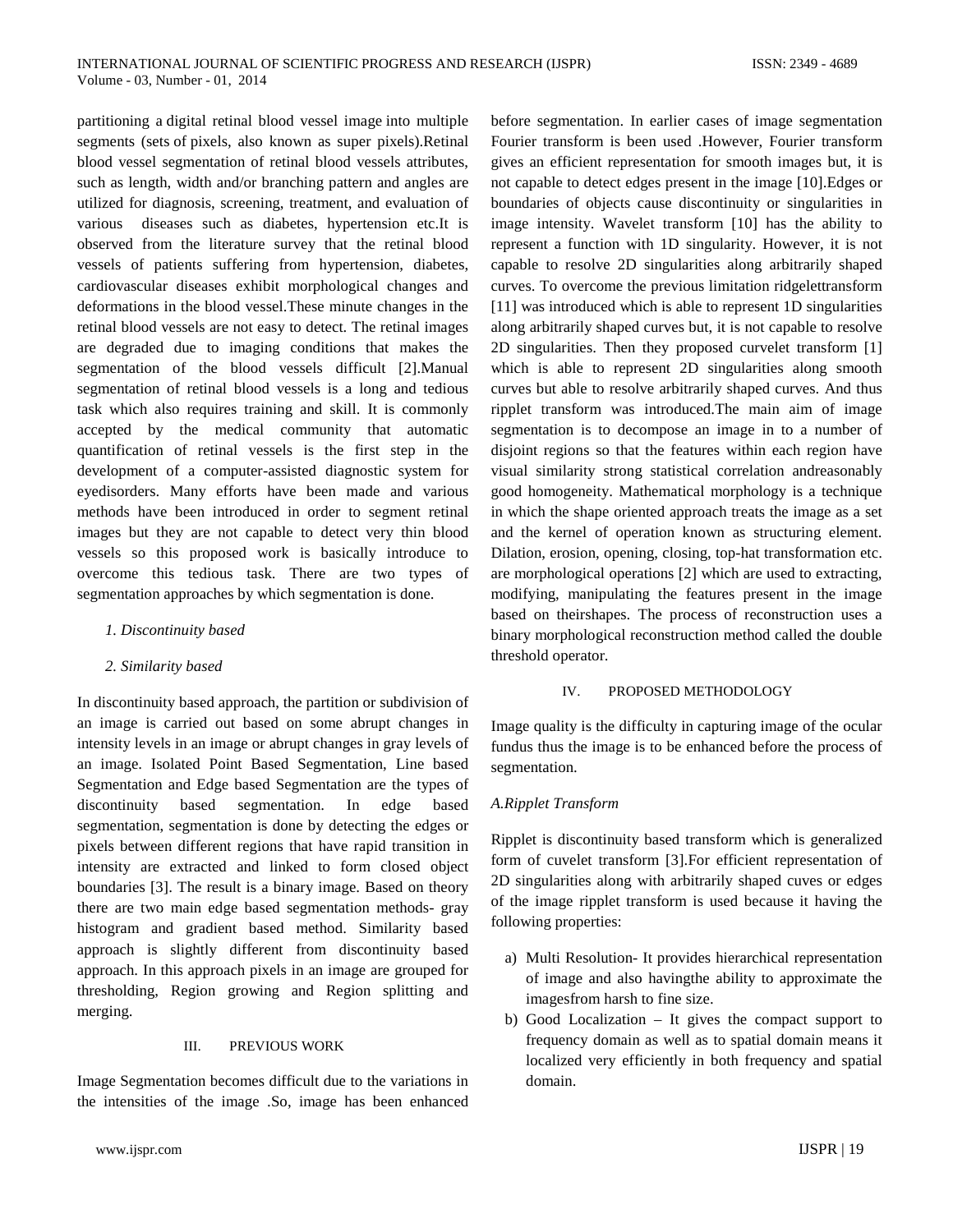partitioning a [digital retinal blood vessel image](http://en.wikipedia.org/wiki/Digital_image) into multiple segments [\(sets](http://en.wikipedia.org/wiki/Set_(mathematics)) of [pixels,](http://en.wikipedia.org/wiki/Pixel) also known as super pixels).Retinal blood vessel segmentation of retinal blood vessels attributes, such as length, width and/or branching pattern and angles are utilized for diagnosis, screening, treatment, and evaluation of various diseases such as diabetes, hypertension etc.It is observed from the literature survey that the retinal blood vessels of patients suffering from hypertension, diabetes, cardiovascular diseases exhibit morphological changes and deformations in the blood vessel.These minute changes in the retinal blood vessels are not easy to detect. The retinal images are degraded due to imaging conditions that makes the segmentation of the blood vessels difficult [2].Manual segmentation of retinal blood vessels is a long and tedious task which also requires training and skill. It is commonly accepted by the medical community that automatic quantification of retinal vessels is the first step in the development of a computer-assisted diagnostic system for eyedisorders. Many efforts have been made and various methods have been introduced in order to segment retinal images but they are not capable to detect very thin blood vessels so this proposed work is basically introduce to overcome this tedious task. There are two types of segmentation approaches by which segmentation is done.

## *1. Discontinuity based*

## *2. Similarity based*

In discontinuity based approach, the partition or subdivision of an image is carried out based on some abrupt changes in intensity levels in an image or abrupt changes in gray levels of an image. Isolated Point Based Segmentation, Line based Segmentation and Edge based Segmentation are the types of discontinuity based segmentation. In edge based segmentation, segmentation is done by detecting the edges or pixels between different regions that have rapid transition in intensity are extracted and linked to form closed object boundaries [3]. The result is a binary image. Based on theory there are two main edge based segmentation methods- gray histogram and gradient based method. Similarity based approach is slightly different from discontinuity based approach. In this approach pixels in an image are grouped for thresholding, Region growing and Region splitting and merging.

## III. PREVIOUS WORK

Image Segmentation becomes difficult due to the variations in the intensities of the image .So, image has been enhanced before segmentation. In earlier cases of image segmentation Fourier transform is been used .However, Fourier transform gives an efficient representation for smooth images but, it is not capable to detect edges present in the image [10].Edges or boundaries of objects cause discontinuity or singularities in image intensity. Wavelet transform [10] has the ability to represent a function with 1D singularity. However, it is not capable to resolve 2D singularities along arbitrarily shaped curves. To overcome the previous limitation ridgelettransform [11] was introduced which is able to represent 1D singularities along arbitrarily shaped curves but, it is not capable to resolve 2D singularities. Then they proposed curvelet transform [1] which is able to represent 2D singularities along smooth curves but able to resolve arbitrarily shaped curves. And thus ripplet transform was introduced.The main aim of image segmentation is to decompose an image in to a number of disjoint regions so that the features within each region have visual similarity strong statistical correlation andreasonably good homogeneity. Mathematical morphology is a technique in which the shape oriented approach treats the image as a set and the kernel of operation known as structuring element. Dilation, erosion, opening, closing, top-hat transformation etc. are morphological operations [2] which are used to extracting, modifying, manipulating the features present in the image based on theirshapes. The process of reconstruction uses a binary morphological reconstruction method called the double threshold operator.

## IV. PROPOSED METHODOLOGY

Image quality is the difficulty in capturing image of the ocular fundus thus the image is to be enhanced before the process of segmentation.

## *A.Ripplet Transform*

Ripplet is discontinuity based transform which is generalized form of cuvelet transform [3].For efficient representation of 2D singularities along with arbitrarily shaped cuves or edges of the image ripplet transform is used because it having the following properties:

- a) Multi Resolution- It provides hierarchical representation of image and also havingthe ability to approximate the imagesfrom harsh to fine size.
- b) Good Localization It gives the compact support to frequency domain as well as to spatial domain means it localized very efficiently in both frequency and spatial domain.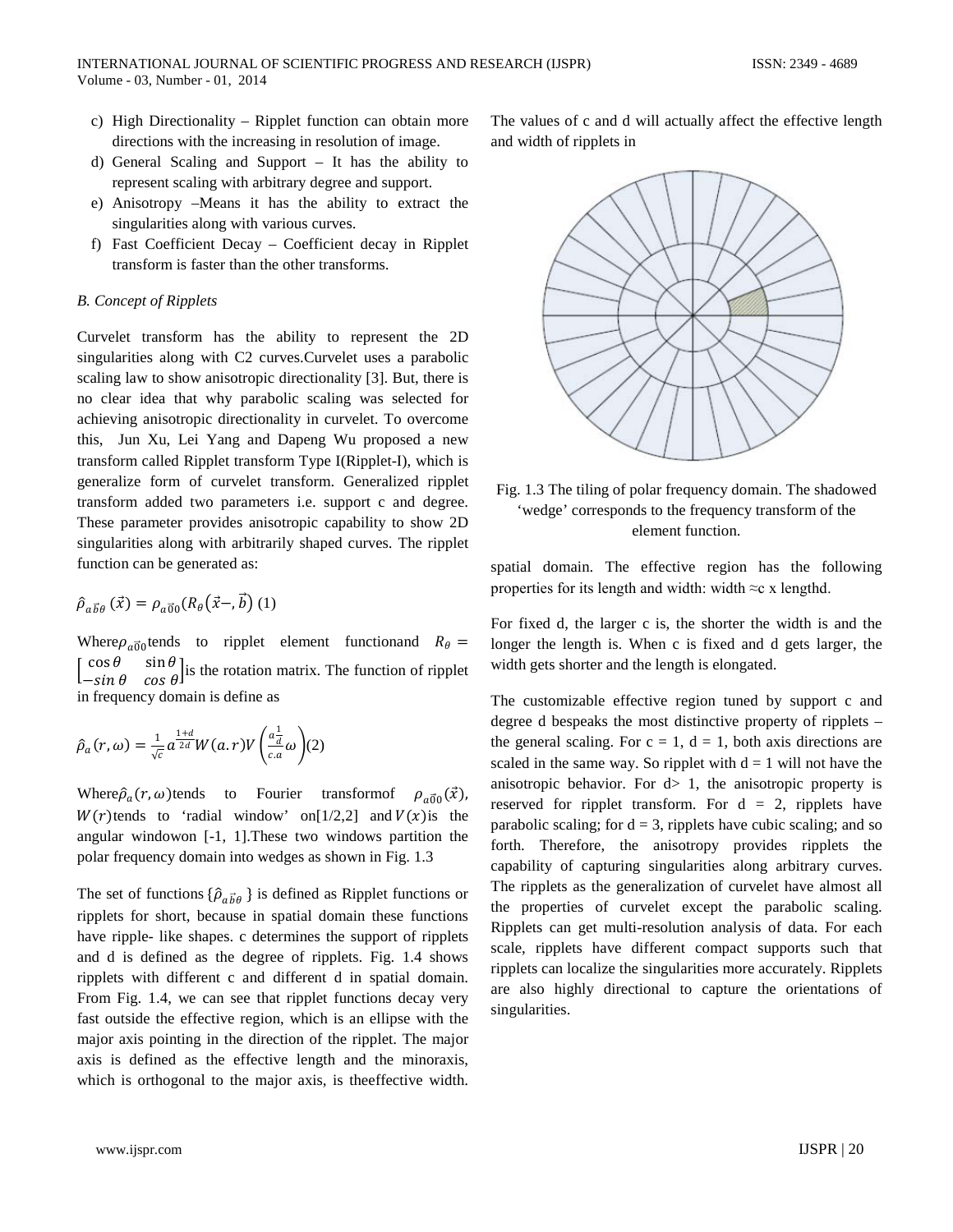- c) High Directionality Ripplet function can obtain more directions with the increasing in resolution of image.
- d) General Scaling and Support It has the ability to represent scaling with arbitrary degree and support.
- e) Anisotropy –Means it has the ability to extract the singularities along with various curves.
- f) Fast Coefficient Decay Coefficient decay in Ripplet transform is faster than the other transforms.

### *B. Concept of Ripplets*

Curvelet transform has the ability to represent the 2D singularities along with C2 curves.Curvelet uses a parabolic scaling law to show anisotropic directionality [3]. But, there is no clear idea that why parabolic scaling was selected for achieving anisotropic directionality in curvelet. To overcome this, Jun Xu, Lei Yang and Dapeng Wu proposed a new transform called Ripplet transform Type I(Ripplet-I), which is generalize form of curvelet transform. Generalized ripplet transform added two parameters i.e. support c and degree. These parameter provides anisotropic capability to show 2D singularities along with arbitrarily shaped curves. The ripplet function can be generated as:

$$
\hat{\rho}_{a\vec{b}\theta}\left(\vec{x}\right) = \rho_{a\vec{0}0}(R_{\theta}\left(\vec{x}-\vec{b}\right)(1))
$$

Where  $\rho_{\alpha\vec{0}0}$  tends to ripplet element functionand  $R_{\theta} =$  $\begin{bmatrix} \cos \theta & \sin \theta \\ -\sin \theta & \cos \theta \end{bmatrix}$  is the rotation matrix. The function of ripplet in frequency domain is define as

$$
\hat{\rho}_a(r,\omega) = \frac{1}{\sqrt{c}} a^{\frac{1+d}{2d}} W(a,r) V\left(\frac{a_d^1}{c_a}\omega\right) (2)
$$

Where  $\hat{\rho}_a(r, \omega)$  tends to Fourier transform of  $\rho_{a\vec{0}0}(\vec{x})$ ,  $W(r)$ tends to 'radial window' on[1/2,2] and  $V(x)$  is the angular windowon [-1, 1].These two windows partition the polar frequency domain into wedges as shown in Fig. 1.3

The set of functions  $\{\hat{\rho}_{a\vec{b}\theta}\}$  is defined as Ripplet functions or ripplets for short, because in spatial domain these functions have ripple- like shapes. c determines the support of ripplets and d is defined as the degree of ripplets. Fig. 1.4 shows ripplets with different c and different d in spatial domain. From Fig. 1.4, we can see that ripplet functions decay very fast outside the effective region, which is an ellipse with the major axis pointing in the direction of the ripplet. The major axis is defined as the effective length and the minoraxis, which is orthogonal to the major axis, is theeffective width.

The values of c and d will actually affect the effective length and width of ripplets in



Fig. 1.3 The tiling of polar frequency domain. The shadowed 'wedge' corresponds to the frequency transform of the element function.

spatial domain. The effective region has the following properties for its length and width: width  $\approx c \times$  lengthd.

For fixed d, the larger c is, the shorter the width is and the longer the length is. When c is fixed and d gets larger, the width gets shorter and the length is elongated.

The customizable effective region tuned by support c and degree d bespeaks the most distinctive property of ripplets – the general scaling. For  $c = 1$ ,  $d = 1$ , both axis directions are scaled in the same way. So ripplet with  $d = 1$  will not have the anisotropic behavior. For  $d > 1$ , the anisotropic property is reserved for ripplet transform. For  $d = 2$ , ripplets have parabolic scaling; for  $d = 3$ , ripplets have cubic scaling; and so forth. Therefore, the anisotropy provides ripplets the capability of capturing singularities along arbitrary curves. The ripplets as the generalization of curvelet have almost all the properties of curvelet except the parabolic scaling. Ripplets can get multi-resolution analysis of data. For each scale, ripplets have different compact supports such that ripplets can localize the singularities more accurately. Ripplets are also highly directional to capture the orientations of singularities.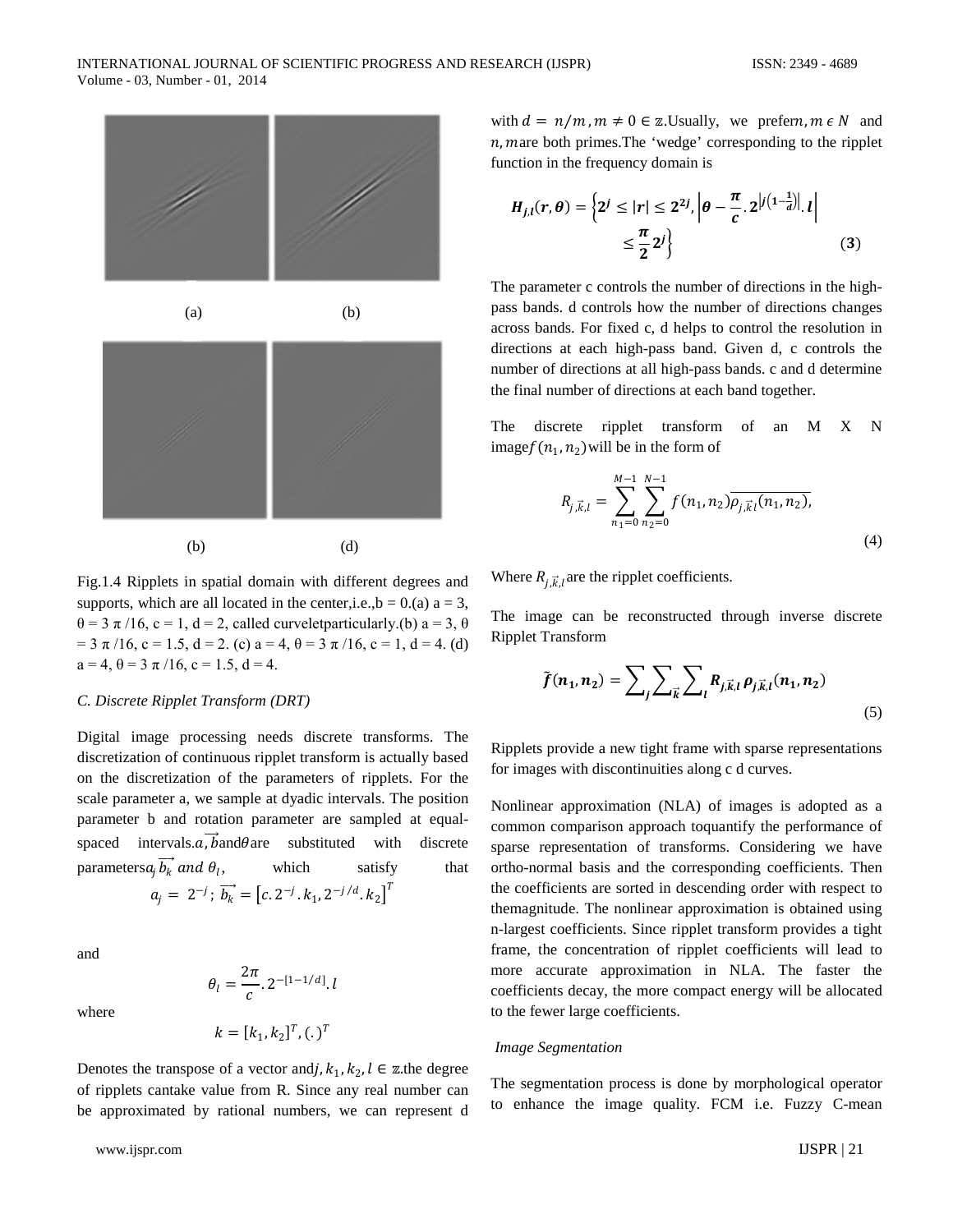

Fig.1.4 Ripplets in spatial domain with different degrees and supports, which are all located in the center, i.e.,  $b = 0$ . (a)  $a = 3$ ,  $\theta = 3 \pi / 16$ ,  $c = 1$ ,  $d = 2$ , called curvelet particularly.(b)  $a = 3$ ,  $\theta$  $= 3 \pi /16$ ,  $c = 1.5$ ,  $d = 2$ . (c)  $a = 4$ ,  $\theta = 3 \pi /16$ ,  $c = 1$ ,  $d = 4$ . (d)  $a = 4$ ,  $\theta = 3 \pi / 16$ ,  $c = 1.5$ ,  $d = 4$ .

#### *C. Discrete Ripplet Transform (DRT)*

Digital image processing needs discrete transforms. The discretization of continuous ripplet transform is actually based on the discretization of the parameters of ripplets. For the scale parameter a, we sample at dyadic intervals. The position parameter b and rotation parameter are sampled at equalspaced intervals.a,  $b$  and  $\theta$  are substituted with discrete parameters  $a_i \overrightarrow{b_k}$  and  $\theta_i$ , which satisfy that  $a_j = 2^{-j}$ ;  $\overrightarrow{b_k} = [c \cdot 2^{-j} \cdot k_1, 2^{-j/d} \cdot k_2]^T$ 

and

where

$$
\theta_l = \frac{2\pi}{c} \cdot 2^{-[1-1/d]} \cdot l
$$

$$
k = [k_1, k_2]^T \cdot (\cdot)^T
$$

Denotes the transpose of a vector and  $j, k_1, k_2, l \in \mathbb{Z}$ .the degree of ripplets cantake value from R. Since any real number can be approximated by rational numbers, we can represent d

www.ijspr.com IJSPR | 21

with  $d = n/m$ ,  $m \neq 0 \in \mathbb{Z}$ . Usually, we preferm,  $m \in N$  and  $n$ , mare both primes. The 'wedge' corresponding to the ripplet function in the frequency domain is

$$
H_{j,l}(r,\theta) = \left\{ 2^j \le |r| \le 2^{2j}, \left| \theta - \frac{\pi}{c} \cdot 2^{|j(1-\frac{1}{d})|} \cdot l \right| \\ \le \frac{\pi}{2} 2^j \right\} \tag{3}
$$

The parameter c controls the number of directions in the highpass bands. d controls how the number of directions changes across bands. For fixed c, d helps to control the resolution in directions at each high-pass band. Given d, c controls the number of directions at all high-pass bands. c and d determine the final number of directions at each band together.

The discrete ripplet transform of an M X N image $f(n_1, n_2)$  will be in the form of

$$
R_{j,\vec{k},l} = \sum_{n_1=0}^{M-1} \sum_{n_2=0}^{N-1} f(n_1, n_2) \overline{\rho_{j,\vec{k}l}(n_1, n_2)},
$$
\n(4)

Where  $R_{j,\vec{k},l}$  are the ripplet coefficients.

The image can be reconstructed through inverse discrete Ripplet Transform

$$
\tilde{f}(n_1, n_2) = \sum_{j} \sum_{\vec{k}} \sum_{l} R_{j, \vec{k}, l} \rho_{j, \vec{k}, l}(n_1, n_2)
$$
\n(5)

Ripplets provide a new tight frame with sparse representations for images with discontinuities along c d curves.

Nonlinear approximation (NLA) of images is adopted as a common comparison approach toquantify the performance of sparse representation of transforms. Considering we have ortho-normal basis and the corresponding coefficients. Then the coefficients are sorted in descending order with respect to themagnitude. The nonlinear approximation is obtained using n-largest coefficients. Since ripplet transform provides a tight frame, the concentration of ripplet coefficients will lead to more accurate approximation in NLA. The faster the coefficients decay, the more compact energy will be allocated to the fewer large coefficients.

#### *Image Segmentation*

The segmentation process is done by morphological operator to enhance the image quality. FCM i.e. Fuzzy C-mean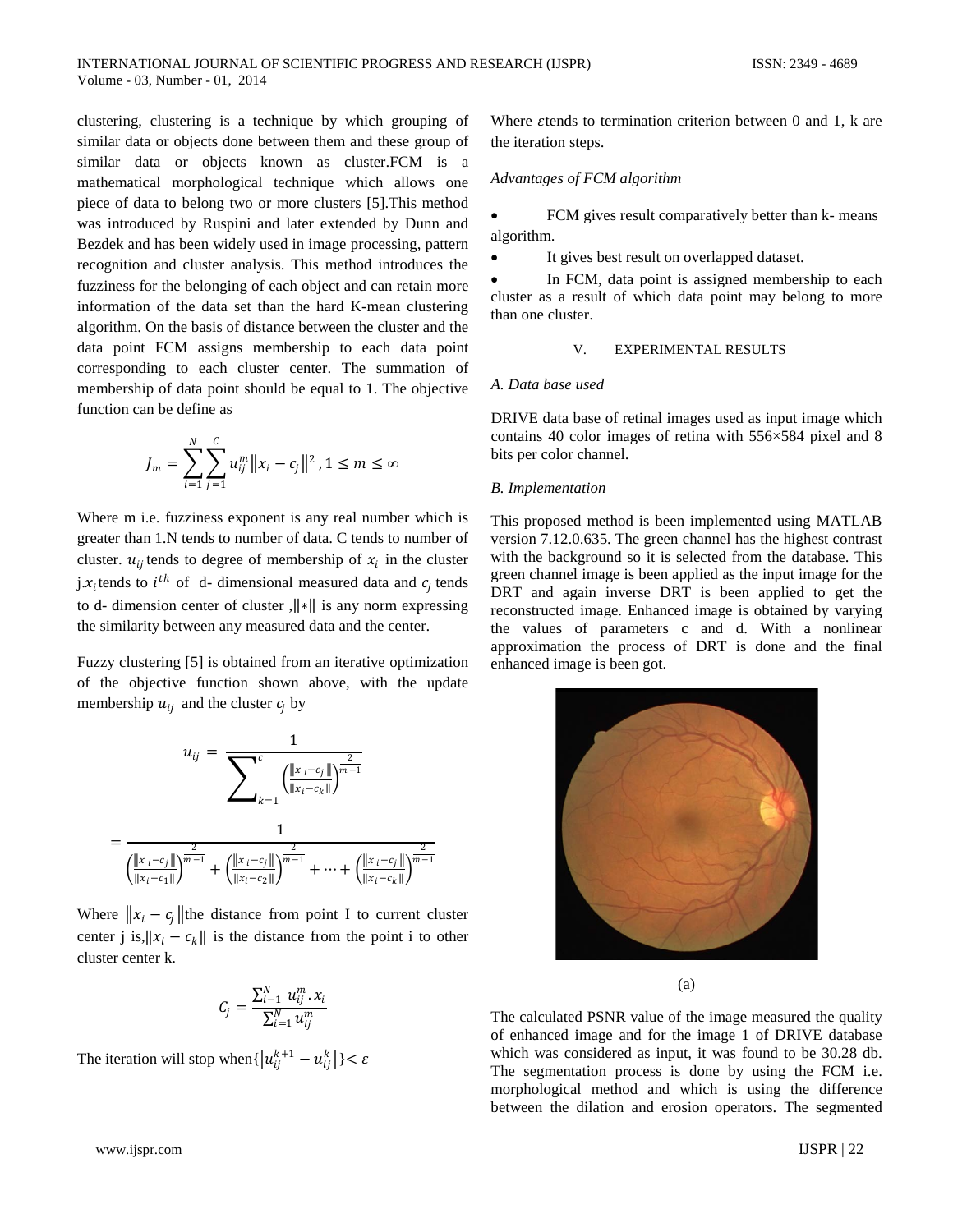clustering, clustering is a technique by which grouping of similar data or objects done between them and these group of similar data or objects known as cluster.FCM is a mathematical morphological technique which allows one piece of data to belong two or more clusters [5].This method was introduced by Ruspini and later extended by Dunn and Bezdek and has been widely used in image processing, pattern recognition and cluster analysis. This method introduces the fuzziness for the belonging of each object and can retain more information of the data set than the hard K-mean clustering algorithm. On the basis of distance between the cluster and the data point FCM assigns membership to each data point corresponding to each cluster center. The summation of membership of data point should be equal to 1. The objective function can be define as

$$
J_m = \sum_{i=1}^N \sum_{j=1}^C u_{ij}^m ||x_i - c_j||^2, 1 \le m \le \infty
$$

Where m i.e. fuzziness exponent is any real number which is greater than 1.N tends to number of data. C tends to number of cluster.  $u_{ij}$  tends to degree of membership of  $x_i$  in the cluster j. $x_i$ tends to  $i^{th}$  of d- dimensional measured data and  $c_i$  tends to d- dimension center of cluster ,‖∗‖ is any norm expressing the similarity between any measured data and the center.

Fuzzy clustering [5] is obtained from an iterative optimization of the objective function shown above, with the update membership  $u_{ii}$  and the cluster  $c_i$  by



Where  $||x_i - c_j||$  the distance from point I to current cluster center j is,  $||x_i - c_k||$  is the distance from the point i to other cluster center k.

$$
C_j = \frac{\sum_{i=1}^{N} u_{ij}^{m} \cdot x_i}{\sum_{i=1}^{N} u_{ij}^{m}}
$$

The iteration will stop when $\{u_{ij}^{k+1} - u_{ij}^k\} < \varepsilon$ 

Where  $\varepsilon$ tends to termination criterion between 0 and 1,  $k$  are the iteration steps.

#### *Advantages of FCM algorithm*

FCM gives result comparatively better than k- means algorithm.

It gives best result on overlapped dataset.

In FCM, data point is assigned membership to each cluster as a result of which data point may belong to more than one cluster.

## V. EXPERIMENTAL RESULTS

#### *A. Data base used*

DRIVE data base of retinal images used as input image which contains 40 color images of retina with 556×584 pixel and 8 bits per color channel.

#### *B. Implementation*

This proposed method is been implemented using MATLAB version 7.12.0.635. The green channel has the highest contrast with the background so it is selected from the database. This green channel image is been applied as the input image for the DRT and again inverse DRT is been applied to get the reconstructed image. Enhanced image is obtained by varying the values of parameters c and d. With a nonlinear approximation the process of DRT is done and the final enhanced image is been got.



(a)

The calculated PSNR value of the image measured the quality of enhanced image and for the image 1 of DRIVE database which was considered as input, it was found to be 30.28 db. The segmentation process is done by using the FCM i.e. morphological method and which is using the difference between the dilation and erosion operators. The segmented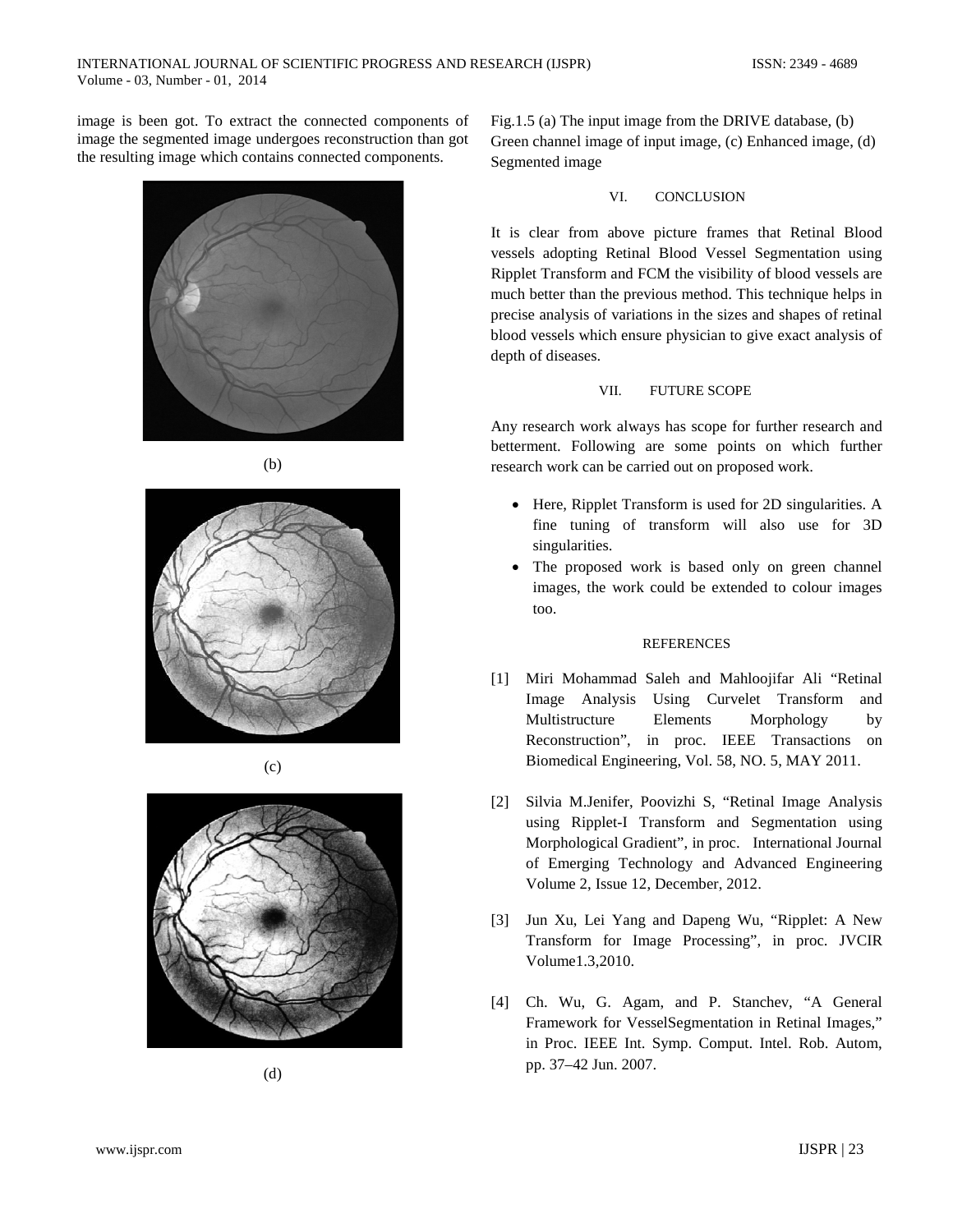image is been got. To extract the connected components of image the segmented image undergoes reconstruction than got the resulting image which contains connected components.



(b)









Fig.1.5 (a) The input image from the DRIVE database, (b) Green channel image of input image, (c) Enhanced image, (d) Segmented image

### VI. CONCLUSION

It is clear from above picture frames that Retinal Blood vessels adopting Retinal Blood Vessel Segmentation using Ripplet Transform and FCM the visibility of blood vessels are much better than the previous method. This technique helps in precise analysis of variations in the sizes and shapes of retinal blood vessels which ensure physician to give exact analysis of depth of diseases.

## VII. FUTURE SCOPE

Any research work always has scope for further research and betterment. Following are some points on which further research work can be carried out on proposed work.

- Here, Ripplet Transform is used for 2D singularities. A fine tuning of transform will also use for 3D singularities.
- The proposed work is based only on green channel images, the work could be extended to colour images too.

#### REFERENCES

- [1] Miri Mohammad Saleh and Mahloojifar Ali "Retinal Image Analysis Using Curvelet Transform and Multistructure Elements Morphology by Reconstruction", in proc. IEEE Transactions on Biomedical Engineering, Vol. 58, NO. 5, MAY 2011.
- [2] Silvia M.Jenifer, Poovizhi S, "Retinal Image Analysis using Ripplet-I Transform and Segmentation using Morphological Gradient", in proc. International Journal of Emerging Technology and Advanced Engineering Volume 2, Issue 12, December, 2012.
- [3] Jun Xu, Lei Yang and Dapeng Wu, "Ripplet: A New Transform for Image Processing", in proc. JVCIR Volume1.3,2010.
- [4] Ch. Wu, G. Agam, and P. Stanchev, "A General Framework for VesselSegmentation in Retinal Images," in Proc. IEEE Int. Symp. Comput. Intel. Rob. Autom, pp. 37–42 Jun. 2007.